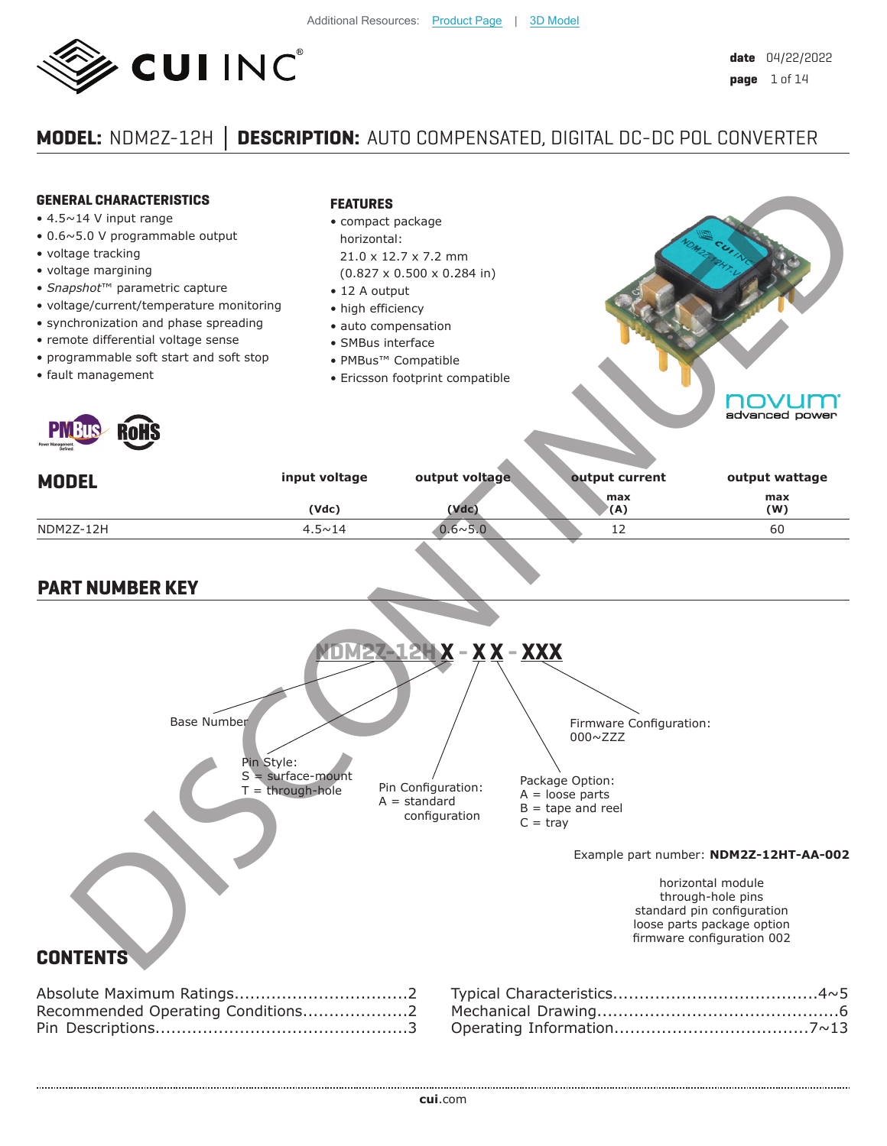

# **MODEL:** NDM2Z-12H **Ϳ DESCRIPTION:** AUTO COMPENSATED, DIGITAL DC-DC POL CONVERTER

| <b>GENERAL CHARACTERISTICS</b><br>$\bullet$ 4.5 $\sim$ 14 V input range<br>• 0.6~5.0 V programmable output<br>· voltage tracking<br>· voltage margining<br>• Snapshot™ parametric capture<br>· voltage/current/temperature monitoring<br>· synchronization and phase spreading<br>· remote differential voltage sense | <b>FEATURES</b><br>• compact package<br>horizontal:<br>• 12 A output<br>• high efficiency<br>· auto compensation<br>• SMBus interface | $21.0 \times 12.7 \times 7.2$ mm<br>$(0.827 \times 0.500 \times 0.284$ in) |                                                                                                                                                        |                                                                                        |
|-----------------------------------------------------------------------------------------------------------------------------------------------------------------------------------------------------------------------------------------------------------------------------------------------------------------------|---------------------------------------------------------------------------------------------------------------------------------------|----------------------------------------------------------------------------|--------------------------------------------------------------------------------------------------------------------------------------------------------|----------------------------------------------------------------------------------------|
| • programmable soft start and soft stop<br>· fault management<br><b>RoHS</b>                                                                                                                                                                                                                                          | • PMBus <sup>™</sup> Compatible                                                                                                       | • Ericsson footprint compatible                                            |                                                                                                                                                        | advanced power                                                                         |
| <b>MODEL</b>                                                                                                                                                                                                                                                                                                          | input voltage                                                                                                                         | output voltage                                                             | output current                                                                                                                                         | output wattage                                                                         |
|                                                                                                                                                                                                                                                                                                                       | (Vdc)                                                                                                                                 | (Vdc)                                                                      | max<br>(A)                                                                                                                                             | max<br>(W)                                                                             |
| NDM2Z-12H                                                                                                                                                                                                                                                                                                             | $4.5 \sim 14$                                                                                                                         | $0.6 \times 5.0$                                                           | 12                                                                                                                                                     | 60                                                                                     |
| <b>Base Number</b><br>Pin Style:                                                                                                                                                                                                                                                                                      | $S = surface$ -mount<br>$T =$ through-hole                                                                                            | Pin Configuration:<br>$A = standard$<br>configuration                      | <u> X – X X – XXX</u><br>Firmware Configuration:<br>$000 \sim ZZZ$<br>Package Option:<br>$A = loose parts$<br>$B =$ tape and reel<br>$C = \text{tray}$ | Example part number: NDM2Z-12HT-AA-002<br>horizontal module<br>through-hole pins       |
| <b>CONTENTS</b><br>Recommended Operating Conditions2                                                                                                                                                                                                                                                                  |                                                                                                                                       |                                                                            |                                                                                                                                                        | standard pin configuration<br>loose parts package option<br>firmware configuration 002 |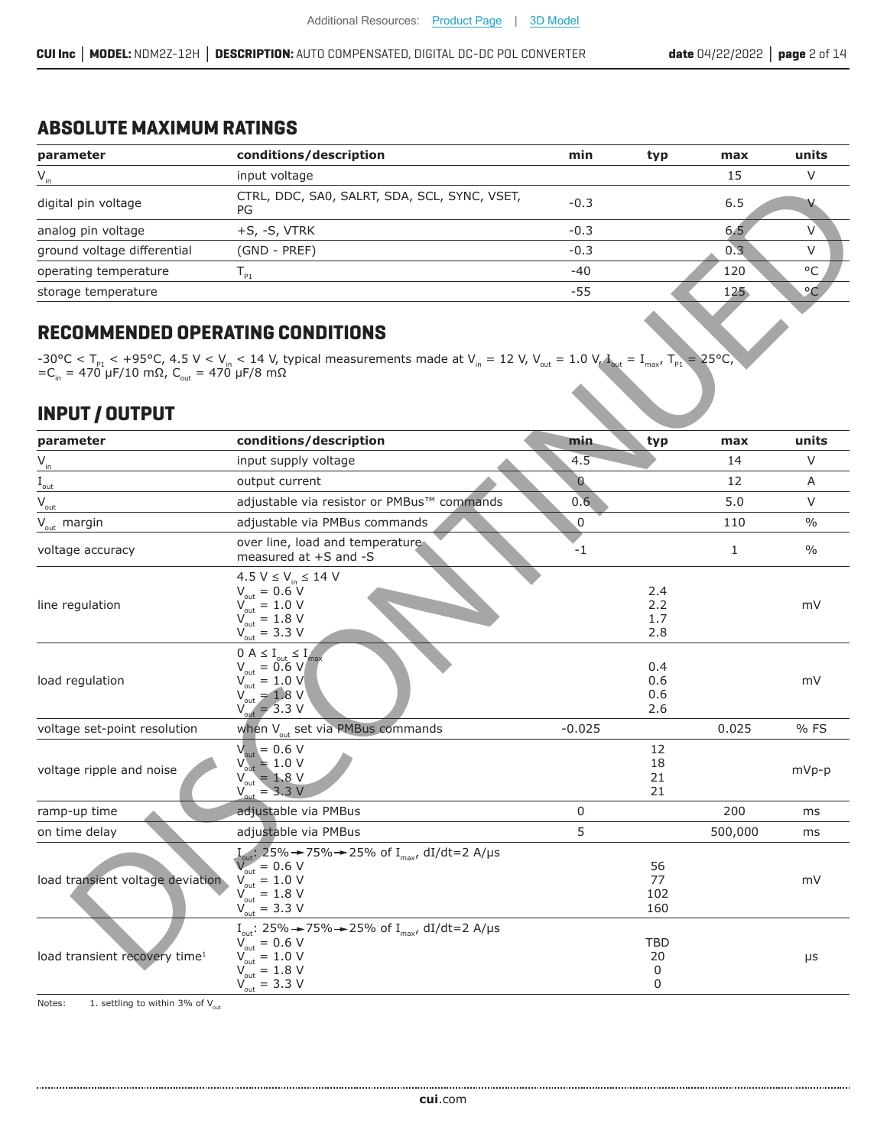### **ABSOLUTE MAXIMUM RATINGS**

| parameter                   | conditions/description                             | min    | typ | max | units   |
|-----------------------------|----------------------------------------------------|--------|-----|-----|---------|
| $V_{in}$                    | input voltage                                      |        |     | 15  |         |
| digital pin voltage         | CTRL, DDC, SA0, SALRT, SDA, SCL, SYNC, VSET,<br>PG | $-0.3$ |     | 6.5 |         |
| analog pin voltage          | $+S$ , $-S$ , VTRK                                 | $-0.3$ |     | 6.5 |         |
| ground voltage differential | (GND - PREF)                                       | $-0.3$ |     | 0.3 |         |
| operating temperature       | P <sub>1</sub>                                     | $-40$  |     | 120 | °C      |
| storage temperature         |                                                    | -55    |     | 125 | $\circ$ |
|                             |                                                    |        |     |     |         |

## **RECOMMENDED OPERATING CONDITIONS**

## **INPUT / OUTPUT**

|                                           | input voltage                                                                                                                                                                                                                                              |                                          | ᅩ                 |                    |
|-------------------------------------------|------------------------------------------------------------------------------------------------------------------------------------------------------------------------------------------------------------------------------------------------------------|------------------------------------------|-------------------|--------------------|
| digital pin voltage                       | CTRL, DDC, SA0, SALRT, SDA, SCL, SYNC, VSET,<br>PG                                                                                                                                                                                                         | $-0.3$                                   | 6.5               |                    |
| analog pin voltage                        | $+S, -S, VTRK$                                                                                                                                                                                                                                             | $-0.3$                                   | 6.5               |                    |
| ground voltage differential               | (GND - PREF)                                                                                                                                                                                                                                               | $-0.3$                                   | 0.3               | V                  |
| operating temperature                     | $T_{p_1}$                                                                                                                                                                                                                                                  | $-40$                                    | 120               | $\circ \mathsf{C}$ |
| storage temperature                       |                                                                                                                                                                                                                                                            | $-55$                                    | 125               | °C                 |
| <b>RECOMMENDED OPERATING CONDITIONS</b>   | -30°C < T <sub>p1</sub> < +95°C, 4.5 V < V <sub>in</sub> < 14 V, typical measurements made at V <sub>in</sub> = 12 V, V <sub>out</sub> = 1.0 V, T <sub>out</sub> = I <sub>max</sub> , T<br>=C <sub>in</sub> = 470 μF/10 mΩ, C <sub>out</sub> = 470 μF/8 mΩ |                                          | $m = 25^{\circ}C$ |                    |
| <b>INPUT / OUTPUT</b><br>parameter        | conditions/description                                                                                                                                                                                                                                     | min                                      |                   | units              |
|                                           | input supply voltage                                                                                                                                                                                                                                       | typ<br>4.5                               | max<br>14         | $\vee$             |
|                                           | output current                                                                                                                                                                                                                                             | $\cap$                                   | 12                | A                  |
| out-<br>$V_{\text{out}}$                  | adjustable via resistor or PMBus™ commands                                                                                                                                                                                                                 | 0.6                                      | 5.0               | V                  |
| $V_{\text{out}}$ margin                   | adjustable via PMBus commands                                                                                                                                                                                                                              | $\overline{0}$                           | 110               | $\frac{0}{0}$      |
|                                           | over line, load and temperature                                                                                                                                                                                                                            |                                          |                   |                    |
| voltage accuracy                          | measured at +S and -S                                                                                                                                                                                                                                      | $-1$                                     |                   | $\frac{0}{0}$      |
| line regulation                           | 4.5 $V \le V_{in} \le 14$ V<br>$V_{\text{out}} = 0.6 \text{ V}$<br>$V_{\text{out}}^{\text{out}} = 1.0 \text{ V}$<br>$V_{\text{out}} = 1.8 \text{ V}$<br>$V_{\text{out}} = 3.3 \text{ V}$                                                                   | 2.4<br>2.2<br>1.7<br>2.8                 |                   | mV                 |
| load regulation                           | $0 A \le I_{\text{out}} \le I_{\text{max}}$<br>$V_{\text{out}} = 0.6 V$<br>$V_{\text{out}}^{\text{out}} = 1.0 \text{ V}$<br>$V_{\text{out}} = 1.8 \text{ V}$<br>$V_{\text{out}} = 3.3 \text{ V}$                                                           | 0.4<br>0.6<br>0.6<br>2.6                 |                   | mV                 |
| voltage set-point resolution              | when V <sub>out</sub> set via PMBus commands                                                                                                                                                                                                               | $-0.025$                                 | 0.025             | %FS                |
| voltage ripple and noise                  | $V_{\text{out}} = 0.6 V$<br>$V_{\text{out}} = 1.0 V$<br>$V_{\text{out}} = 1.8 V$<br>$V_{\text{out}}^{\text{out}} = 3.3 \text{ V}$                                                                                                                          | 12<br>18<br>21<br>21                     |                   | mVp-p              |
| ramp-up time                              | adjustable via PMBus                                                                                                                                                                                                                                       | $\overline{0}$                           | 200               | ms                 |
| on time delay                             | adjustable via PMBus                                                                                                                                                                                                                                       | 5                                        | 500,000           | ms                 |
| load transient voltage deviation          | $\frac{1}{25\%}$ 25% $\rightarrow$ 75% $\rightarrow$ 25% of I <sub>max</sub> , dI/dt=2 A/µs<br>$V_{\text{out}} = 0.6 \text{ V}$<br>$V_{\text{out}} = 1.0 \text{ V}$<br>$V_{\text{out}} = 1.8 \text{ V}$<br>$V_{\text{out}} = 3.3 \text{ V}$                | 56<br>77<br>$\frac{102}{160}$            |                   | mV                 |
| load transient recovery time <sup>1</sup> | I <sub>out</sub> : 25% → 75% → 25% of I <sub>max</sub> , dI/dt=2 A/µs<br>$V_{\text{out}} = 0.6 V$<br>$V_{\text{out}} = 1.0 \text{ V}$<br>$V_{\text{out}} = 1.8 \text{ V}$<br>$V_{\text{out}} = 3.3 \text{ V}$                                              | TBD<br>20<br>$\mathsf 0$<br>$\mathsf{O}$ |                   | $\mu s$            |

Notes:  $1.$  settling to within 3% of V $_{\rm out}$ 

......................

................................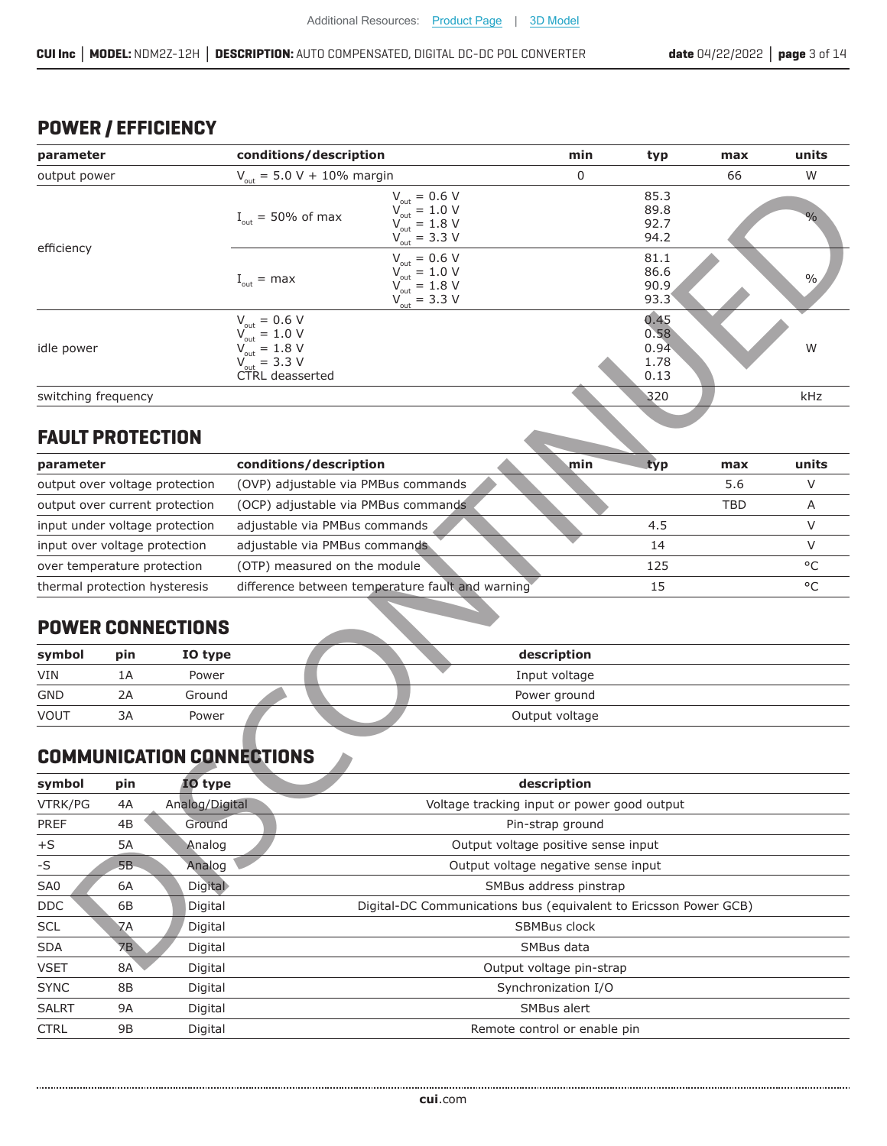## **POWER / EFFICIENCY**

| conditions/description<br>parameter |           | min                      | typ                                                                                                                                                                        | max                                                              | units                                |            |               |
|-------------------------------------|-----------|--------------------------|----------------------------------------------------------------------------------------------------------------------------------------------------------------------------|------------------------------------------------------------------|--------------------------------------|------------|---------------|
| output power                        |           |                          | $V_{\text{out}} = 5.0 V + 10\%$ margin                                                                                                                                     | 0                                                                |                                      | 66         | W             |
|                                     |           |                          | $V_{\text{out}} = 0.6 V$<br>$V_{\text{out}} = 1.0 V$<br>$I_{\text{out}}$ = 50% of max<br>$V_{\text{out}} = 1.8 V$<br>$V_{\text{out}} = 3.3 V$                              |                                                                  | 85.3<br>89.8<br>92.7<br>94.2         |            | $\%$          |
| efficiency                          |           |                          | $V_{\text{out}} = 0.6 V$<br>$V_{\text{out}} = 1.0 V$<br>$I_{\text{out}} = \text{max}$<br>$V_{\text{out}}^{\text{out}} = 1.8 \text{ V}$<br>$V_{\text{out}} = 3.3 \text{ V}$ |                                                                  | 81.1<br>86.6<br>90.9<br>93.3         |            | $\frac{0}{0}$ |
| idle power                          |           |                          | $V_{\text{out}} = 0.6 V$<br>$V_{\text{out}} = 1.0 V$<br>$V_{\text{out}} = 1.8 V$<br>$V_{\text{out}} = 3.3 V$<br>CTRL deasserted                                            |                                                                  | 0.45<br>0.58<br>0.94<br>1.78<br>0.13 |            | W             |
| switching frequency                 |           |                          |                                                                                                                                                                            |                                                                  | 320                                  |            | kHz           |
| <b>FAULT PROTECTION</b>             |           |                          |                                                                                                                                                                            |                                                                  |                                      |            |               |
| parameter                           |           |                          | conditions/description                                                                                                                                                     | min                                                              | typ                                  | max        | units         |
| output over voltage protection      |           |                          | (OVP) adjustable via PMBus commands                                                                                                                                        |                                                                  |                                      | 5.6        | V             |
| output over current protection      |           |                          | (OCP) adjustable via PMBus commands                                                                                                                                        |                                                                  |                                      | <b>TBD</b> | Α             |
| input under voltage protection      |           |                          | adjustable via PMBus commands                                                                                                                                              |                                                                  | 4.5                                  |            | V             |
| input over voltage protection       |           |                          | adjustable via PMBus commands                                                                                                                                              |                                                                  | 14                                   |            | V             |
| over temperature protection         |           |                          | (OTP) measured on the module                                                                                                                                               |                                                                  | 125                                  |            | $^{\circ}$ C  |
| thermal protection hysteresis       |           |                          | difference between temperature fault and warning                                                                                                                           |                                                                  | 15                                   |            | °C            |
|                                     |           | <b>POWER CONNECTIONS</b> |                                                                                                                                                                            |                                                                  |                                      |            |               |
| symbol                              | pin       | IO type                  |                                                                                                                                                                            | description                                                      |                                      |            |               |
| <b>VIN</b>                          | 1A        | Power                    |                                                                                                                                                                            | Input voltage                                                    |                                      |            |               |
| <b>GND</b>                          | 2A        | Ground                   |                                                                                                                                                                            | Power ground                                                     |                                      |            |               |
| <b>VOUT</b>                         | 3A        | Power                    |                                                                                                                                                                            | Output voltage                                                   |                                      |            |               |
|                                     |           |                          | <b>COMMUNICATION CONNECTIONS</b>                                                                                                                                           |                                                                  |                                      |            |               |
| symbol                              | pin       | 10 type                  |                                                                                                                                                                            | description                                                      |                                      |            |               |
| VTRK/PG                             | 4A        | Analog/Digital           |                                                                                                                                                                            | Voltage tracking input or power good output                      |                                      |            |               |
| PREF                                | 4B        | Ground                   |                                                                                                                                                                            | Pin-strap ground                                                 |                                      |            |               |
| $+S$                                | 5A        | Analog                   | Output voltage positive sense input                                                                                                                                        |                                                                  |                                      |            |               |
| -S                                  | 5B        | Analog                   |                                                                                                                                                                            | Output voltage negative sense input                              |                                      |            |               |
| SA0                                 | 6A        | <b>Digital</b>           | SMBus address pinstrap                                                                                                                                                     |                                                                  |                                      |            |               |
| <b>DDC</b>                          | 6B        | Digital                  |                                                                                                                                                                            | Digital-DC Communications bus (equivalent to Ericsson Power GCB) |                                      |            |               |
| SCL                                 | <b>7A</b> | Digital                  |                                                                                                                                                                            | SBMBus clock                                                     |                                      |            |               |
| SDA                                 | <b>7B</b> | Digital                  |                                                                                                                                                                            | SMBus data                                                       |                                      |            |               |
| <b>VSET</b>                         | 8A        | Digital                  |                                                                                                                                                                            | Output voltage pin-strap                                         |                                      |            |               |

## **FAULT PROTECTION**

| parameter                      | conditions/description                           | min<br>typ | max | units   |
|--------------------------------|--------------------------------------------------|------------|-----|---------|
| output over voltage protection | (OVP) adjustable via PMBus commands              |            | 5.6 |         |
| output over current protection | (OCP) adjustable via PMBus commands              |            | TBD |         |
| input under voltage protection | adjustable via PMBus commands                    | 4.5        |     |         |
| input over voltage protection  | adjustable via PMBus commands                    | 14         |     |         |
| over temperature protection    | (OTP) measured on the module                     | 125        |     | $\circ$ |
| thermal protection hysteresis  | difference between temperature fault and warning |            |     |         |

## **POWER CONNECTIONS**

| symbol      | pin | IO type | description    |
|-------------|-----|---------|----------------|
| <b>VIN</b>  | 1Α  | Power   | Input voltage  |
| <b>GND</b>  | 2Α  | Ground  | Power ground   |
| <b>VOUT</b> | 3A  | Power   | Output voltage |

## **COMMUNICATION CONNECTIONS**

| symbol          | pin       | <b>IO</b> type | description                                                      |  |  |  |
|-----------------|-----------|----------------|------------------------------------------------------------------|--|--|--|
| VTRK/PG         | 4A        | Analog/Digital | Voltage tracking input or power good output                      |  |  |  |
| <b>PREF</b>     | 4B        | Ground         | Pin-strap ground                                                 |  |  |  |
| $+S$            | <b>5A</b> | Analog         | Output voltage positive sense input                              |  |  |  |
| $-S$            | 5B.       | Analog         | Output voltage negative sense input                              |  |  |  |
| SA <sub>0</sub> | 6A        | <b>Digital</b> | SMBus address pinstrap                                           |  |  |  |
| <b>DDC</b>      | 6B        | Digital        | Digital-DC Communications bus (equivalent to Ericsson Power GCB) |  |  |  |
| <b>SCL</b>      | 7A        | Digital        | <b>SBMBus clock</b>                                              |  |  |  |
| <b>SDA</b>      | 7B        | Digital        | SMBus data                                                       |  |  |  |
| <b>VSET</b>     | 8A        | Digital        | Output voltage pin-strap                                         |  |  |  |
| <b>SYNC</b>     | 8B        | Digital        | Synchronization I/O                                              |  |  |  |
| <b>SALRT</b>    | 9A        | Digital        | SMBus alert                                                      |  |  |  |
| <b>CTRL</b>     | 9B        | Digital        | Remote control or enable pin                                     |  |  |  |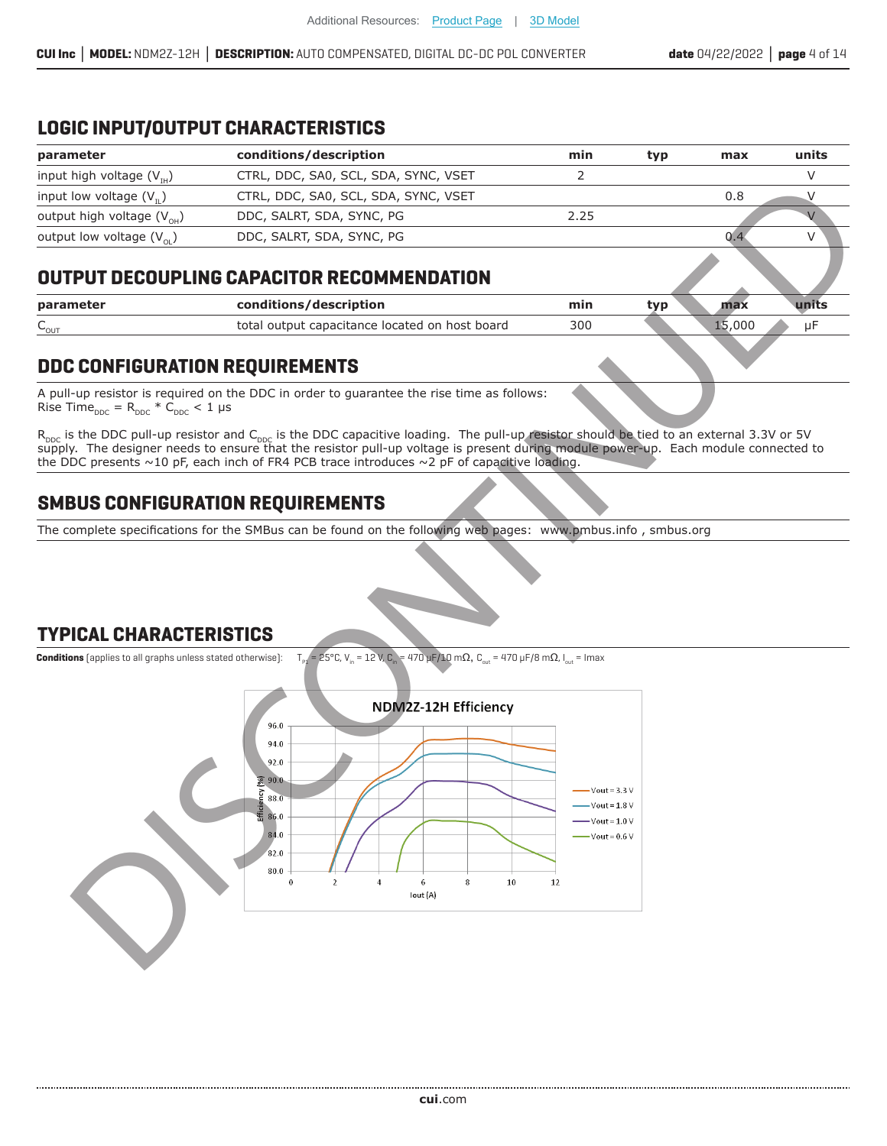### **LOGIC INPUT/OUTPUT CHARACTERISTICS**

| parameter                         | conditions/description               | min  | typ | max | units |
|-----------------------------------|--------------------------------------|------|-----|-----|-------|
| input high voltage $(V_{\mu})$    | CTRL, DDC, SA0, SCL, SDA, SYNC, VSET |      |     |     |       |
| input low voltage $(V_n)$         | CTRL, DDC, SA0, SCL, SDA, SYNC, VSET |      |     | 0.8 |       |
| output high voltage $(V_{OH})$    | DDC, SALRT, SDA, SYNC, PG            | 2.25 |     |     |       |
| output low voltage $(V_{\alpha})$ | DDC, SALRT, SDA, SYNC, PG            |      |     |     |       |
|                                   |                                      |      |     |     |       |

### **OUTPUT DECOUPLING CAPACITOR RECOMMENDATION**

| parameter           | conditions/description                         | mın | tvr |      |  |
|---------------------|------------------------------------------------|-----|-----|------|--|
| $\sim_{\text{OUT}}$ | total output capacitance located on host board | 300 |     | ,000 |  |

### **DDC CONFIGURATION REQUIREMENTS**

A pull-up resistor is required on the DDC in order to quarantee the rise time as follows: Rise Time $_{\text{DDC}}$  = R<sub>DDC</sub> \* C<sub>DDC</sub> < 1 µs

R<sub>ppc</sub> is the DDC pull-up resistor and C<sub>ppc</sub> is the DDC capacitive loading. The pull-up resistor should be tied to an external 3.3V or 5V<br>supply. The designer needs to ensure that the resistor pull-up voltage is present d the DDC presents  $\sim$ 10 pF, each inch of FR4 PCB trace introduces  $\sim$ 2 pF of capacitive loading.

## **SMBUS CONFIGURATION REQUIREMENTS**

The complete specifications for the SMBus can be found on the following web pages: www.pmbus.info, smbus.org

### **TYPICAL CHARACTERISTICS**

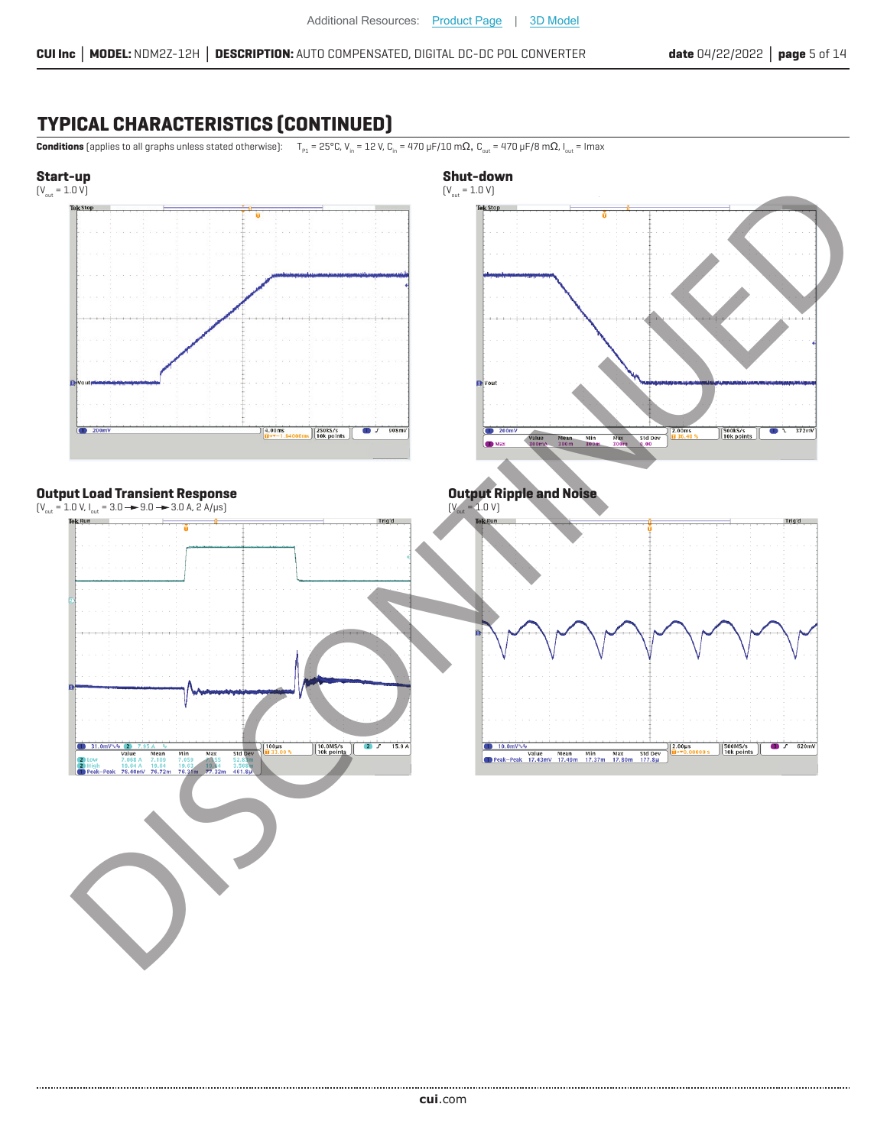## **TYPICAL CHARACTERISTICS (CONTINUED)**

..................

**Conditions** (applies to all graphs unless stated otherwise):  $T_{\text{en}} = 25^{\circ}$ C, V<sub>in</sub> = 12 V, C<sub>in</sub> = 470 µF/10 m $\Omega$ , C<sub>int</sub> = 470 µF/8 m $\Omega$ , I<sub>nt</sub> = Imax

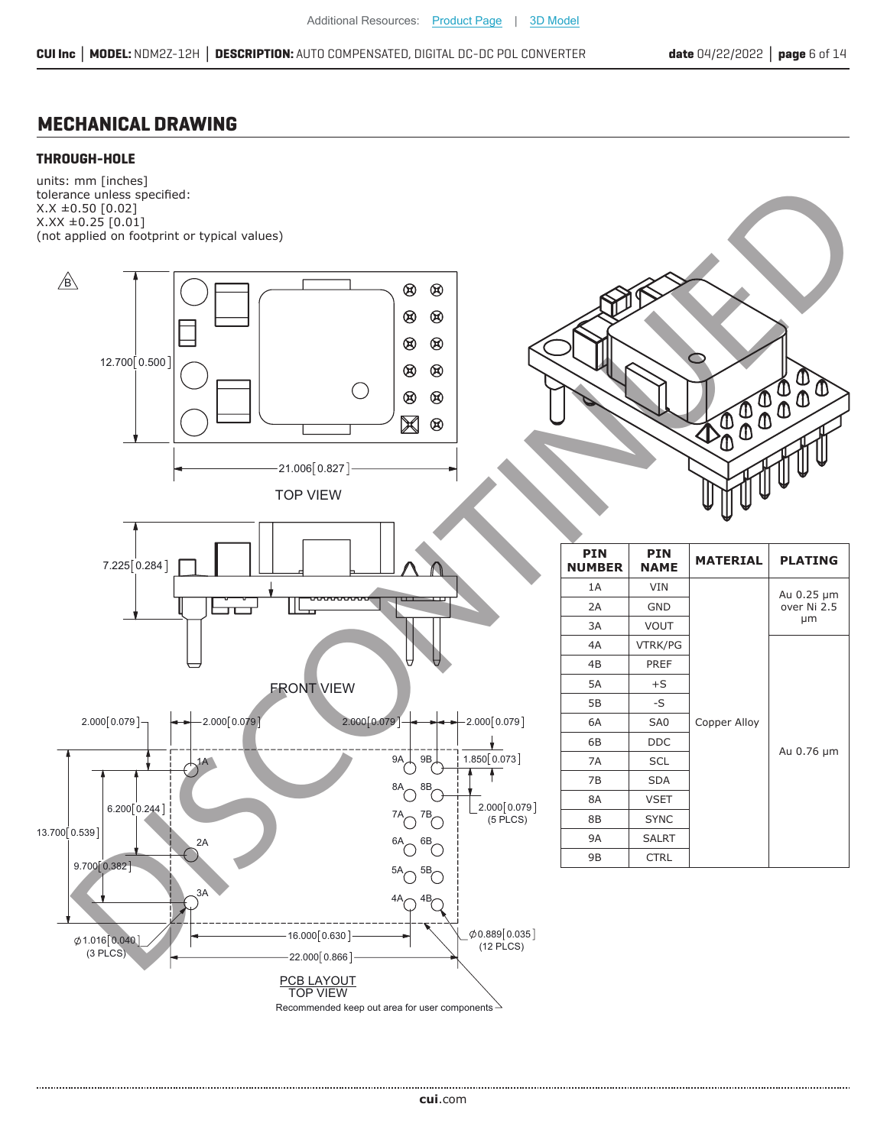### **MECHANICAL DRAWING**

#### **THROUGH-HOLE**

units: mm [inches] tolerance unless specified: X.X ±0.50 [0.02]  $X.XX \pm 0.25$  [0.01] (not applied on footprint or typical values)



**cui**[.com](https://www.cui.com/track?actionLabel=Datasheet-ClickThrough-HomePage&label=NDM2Z-12H.pdf&path=/)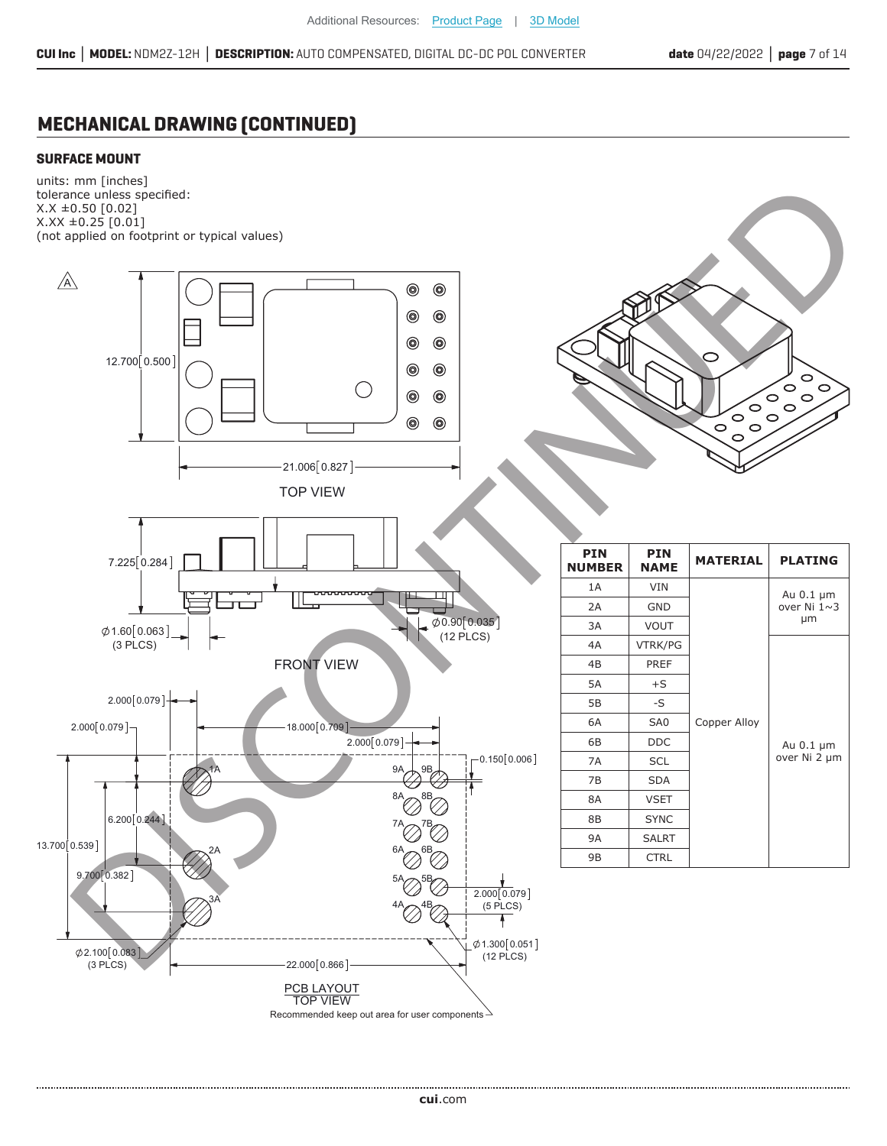## **MECHANICAL DRAWING (CONTINUED)**

#### **SURFACE MOUNT**

units: mm [inches] tolerance unless specified: X.X ±0.50 [0.02]  $X.XX \pm 0.25$  [0.01] (not applied on footprint or typical values)

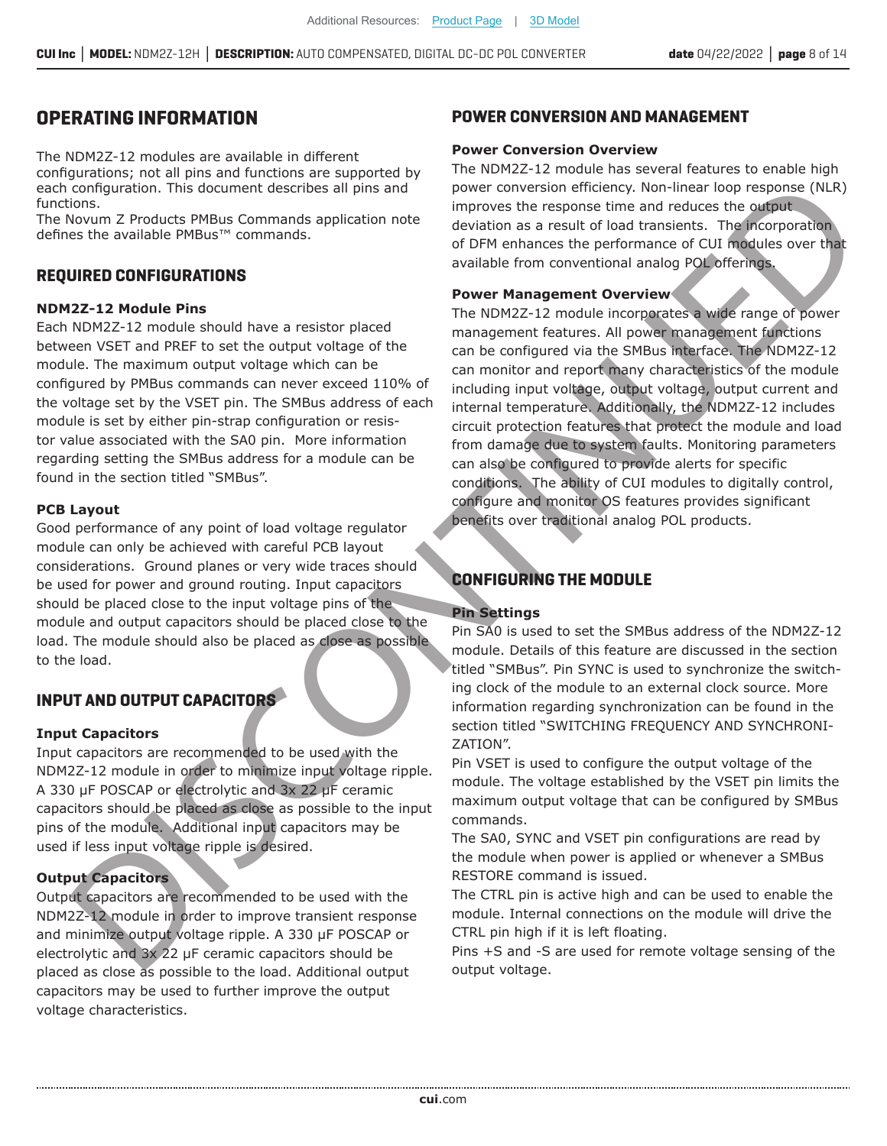### **OPERATING INFORMATION**

The NDM2Z-12 modules are available in different configurations; not all pins and functions are supported by each configuration. This document describes all pins and functions.

The Novum Z Products PMBus Commands application note defines the available PMBus™ commands.

#### **REQUIRED CONFIGURATIONS**

#### **NDM2Z-12 Module Pins**

Each NDM2Z-12 module should have a resistor placed between VSET and PREF to set the output voltage of the module. The maximum output voltage which can be configured by PMBus commands can never exceed 110% of the voltage set by the VSET pin. The SMBus address of each module is set by either pin-strap configuration or resistor value associated with the SA0 pin. More information regarding setting the SMBus address for a module can be found in the section titled "SMBus".

#### **PCB Layout**

Good performance of any point of load voltage regulator module can only be achieved with careful PCB layout considerations. Ground planes or very wide traces should be used for power and ground routing. Input capacitors should be placed close to the input voltage pins of the module and output capacitors should be placed close to the load. The module should also be placed as close as possible to the load.

#### **INPUT AND OUTPUT CAPACITORS**

#### **Input Capacitors**

Input capacitors are recommended to be used with the NDM2Z-12 module in order to minimize input voltage ripple. A 330 µF POSCAP or electrolytic and  $3x$  22 µF ceramic capacitors should be placed as close as possible to the input pins of the module. Additional input capacitors may be used if less input voltage ripple is desired.

#### **Output Capacitors**

Output capacitors are recommended to be used with the NDM2Z-12 module in order to improve transient response and minimize output voltage ripple. A 330  $\mu$ F POSCAP or electrolytic and  $3x$  22 µF ceramic capacitors should be placed as close as possible to the load. Additional output capacitors may be used to further improve the output voltage characteristics.

#### **POWER CONVERSION AND MANAGEMENT**

#### **Power Conversion Overview**

The NDM2Z-12 module has several features to enable high power conversion efficiency. Non-linear loop response (NLR) improves the response time and reduces the output deviation as a result of load transients. The incorporation of DFM enhances the performance of CUI modules over that available from conventional analog POL offerings.

#### **Power Management Overview**

The NDM2Z-12 module incorporates a wide range of power management features. All power management functions can be configured via the SMBus interface. The NDM2Z-12 can monitor and report many characteristics of the module including input voltage, output voltage, output current and internal temperature. Additionally, the NDM2Z-12 includes circuit protection features that protect the module and load from damage due to system faults. Monitoring parameters can also be configured to provide alerts for specific conditions. The ability of CUI modules to digitally control, configure and monitor OS features provides significant benefits over traditional analog POL products. Configures the theoretic determines the internal term in the SMD and the Configures of the RS and the DISCONTINUED INCOLL CONTINUED IN the Configures of the DISCONTINUED DETAILS The Configures of the CONTINUED DETAILS The Configuration. This document describes all pins and<br>
Configuration and the media oppose to the media of the media of the media of the media of the media of the media of the media of the media of the media of the media of t

### **CONFIGURING THE MODULE**

#### **Pin Settings**

Pin SA0 is used to set the SMBus address of the NDM2Z-12 module. Details of this feature are discussed in the section titled "SMBus". Pin SYNC is used to synchronize the switching clock of the module to an external clock source. More information regarding synchronization can be found in the section titled "SWITCHING FREQUENCY AND SYNCHRONI-ZATION".

Pin VSET is used to configure the output voltage of the module. The voltage established by the VSET pin limits the maximum output voltage that can be configured by SMBus commands.

The SA0, SYNC and VSET pin configurations are read by the module when power is applied or whenever a SMBus RESTORE command is issued.

The CTRL pin is active high and can be used to enable the module. Internal connections on the module will drive the CTRL pin high if it is left floating.

output voltage.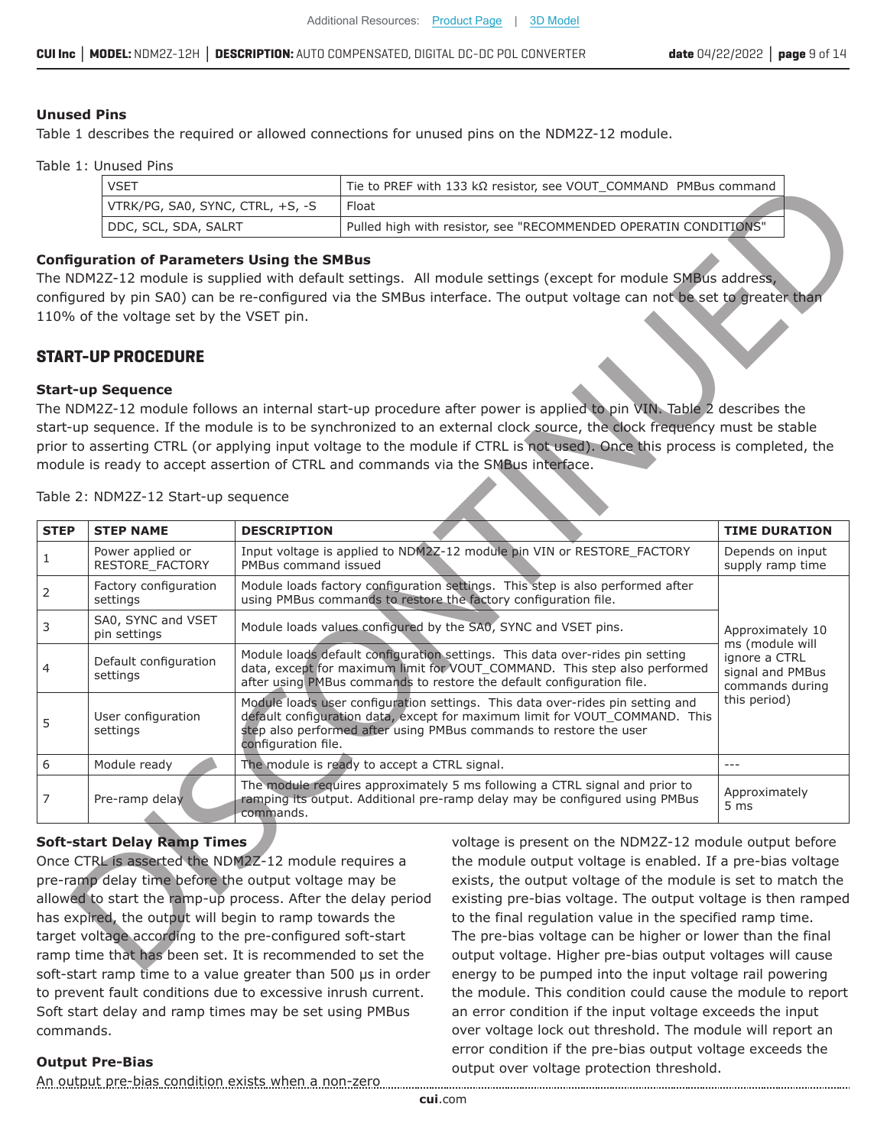#### **Unused Pins**

Table 1 describes the required or allowed connections for unused pins on the NDM2Z-12 module.

Table 1: Unused Pins

| VSET                             | Tie to PREF with 133 k $\Omega$ resistor, see VOUT COMMAND PMBus command |
|----------------------------------|--------------------------------------------------------------------------|
| VTRK/PG, SA0, SYNC, CTRL, +S, -S | Float                                                                    |
| DDC, SCL, SDA, SALRT             | Pulled high with resistor, see "RECOMMENDED OPERATIN CONDITIONS"         |

#### **Configuration of Parameters Using the SMBus**

#### **START-UP PROCEDURE**

#### **Start-up Sequence**

|             | <b>VSET</b>                              |                                                              | Tie to PREF with 133 k $\Omega$ resistor, see VOUT_COMMAND PMBus command                                                                                                                                                               |                                                      |
|-------------|------------------------------------------|--------------------------------------------------------------|----------------------------------------------------------------------------------------------------------------------------------------------------------------------------------------------------------------------------------------|------------------------------------------------------|
|             | VTRK/PG, SA0, SYNC, CTRL, +S, -S         | Float                                                        |                                                                                                                                                                                                                                        |                                                      |
|             | DDC, SCL, SDA, SALRT                     |                                                              | Pulled high with resistor, see "RECOMMENDED OPERATIN CONDITIONS"                                                                                                                                                                       |                                                      |
|             | 110% of the voltage set by the VSET pin. | <b>Configuration of Parameters Using the SMBus</b>           | The NDM2Z-12 module is supplied with default settings. All module settings (except for module SMBus address,<br>configured by pin SA0) can be re-configured via the SMBus interface. The output voltage can not be set to greater than |                                                      |
|             | <b>START-UP PROCEDURE</b>                |                                                              |                                                                                                                                                                                                                                        |                                                      |
|             | <b>Start-up Sequence</b>                 |                                                              |                                                                                                                                                                                                                                        |                                                      |
|             |                                          |                                                              | The NDM2Z-12 module follows an internal start-up procedure after power is applied to pin VIN. Table 2 describes the                                                                                                                    |                                                      |
|             |                                          |                                                              | start-up sequence. If the module is to be synchronized to an external clock source, the clock frequency must be stable                                                                                                                 |                                                      |
|             |                                          |                                                              | prior to asserting CTRL (or applying input voltage to the module if CTRL is not used). Once this process is completed, the                                                                                                             |                                                      |
|             |                                          |                                                              | module is ready to accept assertion of CTRL and commands via the SMBus interface.                                                                                                                                                      |                                                      |
|             | Table 2: NDM2Z-12 Start-up sequence      |                                                              |                                                                                                                                                                                                                                        |                                                      |
| <b>STEP</b> | <b>STEP NAME</b>                         | <b>DESCRIPTION</b>                                           |                                                                                                                                                                                                                                        | <b>TIME DURATION</b>                                 |
|             | Power applied or<br>RESTORE FACTORY      | PMBus command issued                                         | Input voltage is applied to NDM2Z-12 module pin VIN or RESTORE_FACTORY                                                                                                                                                                 | Depends on input<br>supply ramp time                 |
|             | Factory configuration<br>settings        |                                                              | Module loads factory configuration settings. This step is also performed after<br>using PMBus commands to restore the factory configuration file.                                                                                      |                                                      |
|             | SA0, SYNC and VSET<br>pin settings       |                                                              | Module loads values configured by the SA0, SYNC and VSET pins.                                                                                                                                                                         | Approximately 10<br>ms (module will                  |
|             | Default configuration<br>settings        |                                                              | Module loads default configuration settings. This data over-rides pin setting<br>data, except for maximum limit for VOUT_COMMAND. This step also performed<br>after using PMBus commands to restore the default configuration file.    | ignore a CTRL<br>signal and PMBus<br>commands during |
|             | User configuration<br>settings           | configuration file.                                          | Module loads user configuration settings. This data over-rides pin setting and<br>default configuration data, except for maximum limit for VOUT_COMMAND. This<br>step also performed after using PMBus commands to restore the user    | this period)                                         |
|             | Module ready                             | The module is ready to accept a CTRL signal.                 |                                                                                                                                                                                                                                        | $---$                                                |
|             | Pre-ramp delay                           | commands.                                                    | The module requires approximately 5 ms following a CTRL signal and prior to<br>ramping its output. Additional pre-ramp delay may be configured using PMBus                                                                             | Approximately<br>5 <sub>ms</sub>                     |
|             | <b>Soft-start Delay Ramp Times</b>       |                                                              | voltage is present on the NDM2Z-12 module output before                                                                                                                                                                                |                                                      |
|             |                                          | Once CTRL is asserted the NDM2Z-12 module requires a         | the module output voltage is enabled. If a pre-bias voltage                                                                                                                                                                            |                                                      |
|             |                                          | pre-ramp delay time before the output voltage may be         | exists, the output voltage of the module is set to match the                                                                                                                                                                           |                                                      |
|             |                                          | allowed to start the ramp-up process. After the delay period | existing pre-bias voltage. The output voltage is then ramped                                                                                                                                                                           |                                                      |
|             |                                          |                                                              |                                                                                                                                                                                                                                        |                                                      |
|             |                                          | has expired, the output will begin to ramp towards the       | to the final regulation value in the specified ramp time.                                                                                                                                                                              |                                                      |
|             |                                          | target voltage according to the pre-configured soft-start    | The pre-bias voltage can be higher or lower than the final                                                                                                                                                                             |                                                      |
|             |                                          | ramp time that has been set. It is recommended to set the    | output voltage. Higher pre-bias output voltages will cause                                                                                                                                                                             |                                                      |

#### **Soft-start Delay Ramp Times**

Once CTRL is asserted the NDM2Z-12 module requires a pre-ramp delay time before the output voltage may be allowed to start the ramp-up process. After the delay period has expired, the output will begin to ramp towards the target voltage according to the pre-configured soft-start ramp time that has been set. It is recommended to set the soft-start ramp time to a value greater than 500 us in order to prevent fault conditions due to excessive inrush current. Soft start delay and ramp times may be set using PMBus commands.

voltage is present on the NDM2Z-12 module output before the module output voltage is enabled. If a pre-bias voltage exists, the output voltage of the module is set to match the existing pre-bias voltage. The output voltage is then ramped to the final regulation value in the specified ramp time. The pre-bias voltage can be higher or lower than the final output voltage. Higher pre-bias output voltages will cause energy to be pumped into the input voltage rail powering the module. This condition could cause the module to report an error condition if the input voltage exceeds the input over voltage lock out threshold. The module will report an error condition if the pre-bias output voltage exceeds the output over voltage protection threshold.

#### **Output Pre-Bias**

An output pre-bias condition exists when a non-zero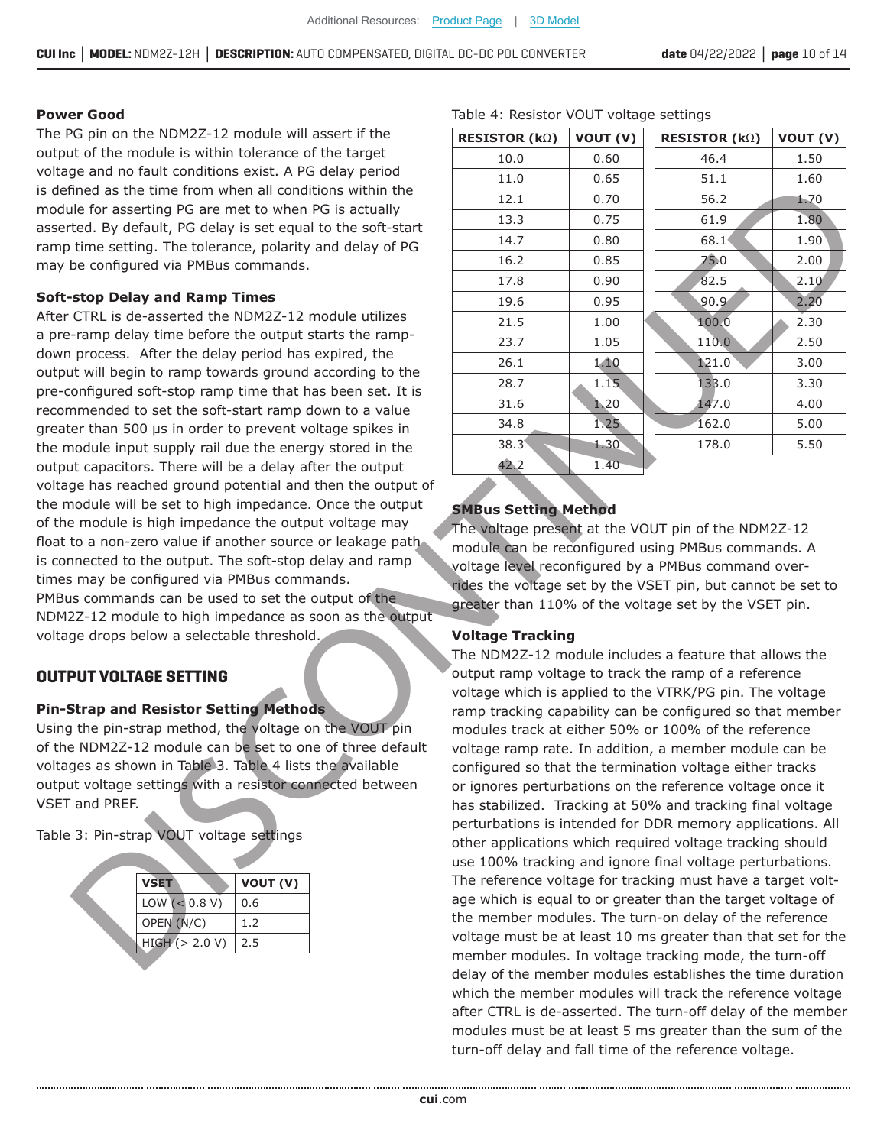#### **Power Good**

The PG pin on the NDM2Z-12 module will assert if the output of the module is within tolerance of the target voltage and no fault conditions exist. A PG delay period is defined as the time from when all conditions within the module for asserting PG are met to when PG is actually asserted. By default, PG delay is set equal to the soft-start ramp time setting. The tolerance, polarity and delay of PG may be configured via PMBus commands.

#### **Soft-stop Delay and Ramp Times**

After CTRL is de-asserted the NDM2Z-12 module utilizes a pre-ramp delay time before the output starts the rampdown process. After the delay period has expired, the output will begin to ramp towards ground according to the pre-configured soft-stop ramp time that has been set. It is recommended to set the soft-start ramp down to a value greater than 500 us in order to prevent voltage spikes in the module input supply rail due the energy stored in the output capacitors. There will be a delay after the output voltage has reached ground potential and then the output of the module will be set to high impedance. Once the output of the module is high impedance the output voltage may float to a non-zero value if another source or leakage path is connected to the output. The soft-stop delay and ramp times may be configured via PMBus commands. PMBus commands can be used to set the output of the NDM2Z-12 module to high impedance as soon as the output voltage drops below a selectable threshold. is defined as the time from when all conditions within the  $\frac{11.0}{2.2}$ <br>
asserted, by default, FG delay is detailed to assert the setting. The tolerance polarity and delay of PG<br>
asserted. The tolerance, polarity and de

### **OUTPUT VOLTAGE SETTING**

#### **Pin-Strap and Resistor Setting Methods**

Using the pin-strap method, the voltage on the VOUT pin of the NDM2Z-12 module can be set to one of three default voltages as shown in Table 3. Table 4 lists the available output voltage settings with a resistor connected between VSET and PREF.

Table 3: Pin-strap VOUT voltage settings

| <b>VSET</b>          | VOUT (V) |
|----------------------|----------|
| LOW $(< 0.8 V)$      | 0.6      |
| OPEN (N/C)           | 1.2      |
| $HIGH$ ( $> 2.0 V$ ) | 2.5      |
|                      |          |

| <b>RESISTOR (<math>k\Omega</math>)</b> | VOUT (V) | <b>RESISTOR (<math>k\Omega</math>)</b> | VOUT (V) |
|----------------------------------------|----------|----------------------------------------|----------|
| 10.0                                   | 0.60     | 46.4                                   | 1.50     |
| 11.0                                   | 0.65     | 51.1                                   | 1.60     |
| 12.1                                   | 0.70     | 56.2                                   | 1.70     |
| 13.3                                   | 0.75     | 61.9                                   | 1.80     |
| 14.7                                   | 0.80     | 68.1                                   | 1.90     |
| 16.2                                   | 0.85     | 75.0                                   | 2.00     |
| 17.8                                   | 0.90     | 82.5                                   | 2.10     |
| 19.6                                   | 0.95     | 90.9                                   | 2.20     |
| 21.5                                   | 1.00     | 100.0                                  | 2.30     |
| 23.7                                   | 1.05     | 110.0                                  | 2.50     |
| 26.1                                   | 1.10     | 121.0                                  | 3.00     |
| 28.7                                   | 1.15     | 133.0                                  | 3.30     |
| 31.6                                   | 1.20     | 147.0                                  | 4.00     |
| 34.8                                   | 1.25     | 162.0                                  | 5.00     |
| $38.3^{\circ}$                         | 1.30     | 178.0                                  | 5.50     |
| 42.2                                   | 1.40     |                                        |          |

#### Table 4: Resistor VOUT voltage settings

#### **SMBus Setting Method**

The voltage present at the VOUT pin of the NDM2Z-12 module can be reconfigured using PMBus commands. A voltage level reconfigured by a PMBus command overrides the voltage set by the VSET pin, but cannot be set to greater than 110% of the voltage set by the VSET pin.

#### **Voltage Tracking**

The NDM2Z-12 module includes a feature that allows the output ramp voltage to track the ramp of a reference voltage which is applied to the VTRK/PG pin. The voltage ramp tracking capability can be configured so that member modules track at either 50% or 100% of the reference voltage ramp rate. In addition, a member module can be configured so that the termination voltage either tracks or ignores perturbations on the reference voltage once it has stabilized. Tracking at 50% and tracking final voltage perturbations is intended for DDR memory applications. All other applications which required voltage tracking should use 100% tracking and ignore final voltage perturbations. The reference voltage for tracking must have a target voltage which is equal to or greater than the target voltage of the member modules. The turn-on delay of the reference voltage must be at least 10 ms greater than that set for the member modules. In voltage tracking mode, the turn-off delay of the member modules establishes the time duration which the member modules will track the reference voltage after CTRL is de-asserted. The turn-off delay of the member modules must be at least 5 ms greater than the sum of the turn-off delay and fall time of the reference voltage. Find on the time form when all contained in the set time for the set of the time set of the contained as the contained as the set of the set of the set of the set of the set of the set of the set of the set of the set of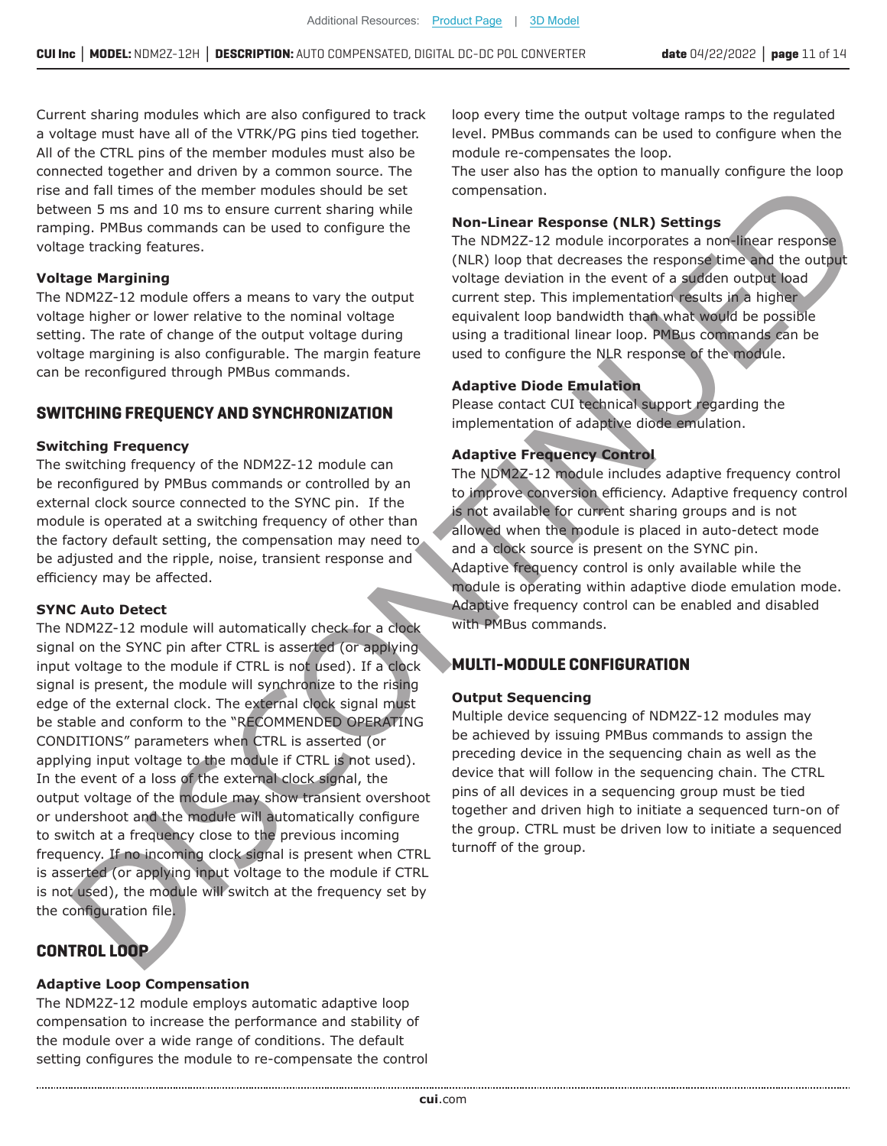Current sharing modules which are also configured to track a voltage must have all of the VTRK/PG pins tied together. All of the CTRL pins of the member modules must also be connected together and driven by a common source. The rise and fall times of the member modules should be set between 5 ms and 10 ms to ensure current sharing while ramping. PMBus commands can be used to configure the voltage tracking features.

#### **Voltage Margining**

The NDM2Z-12 module offers a means to vary the output voltage higher or lower relative to the nominal voltage setting. The rate of change of the output voltage during voltage margining is also configurable. The margin feature can be reconfigured through PMBus commands.

#### **SWITCHING FREQUENCY AND SYNCHRONIZATION**

#### **Switching Frequency**

The switching frequency of the NDM2Z-12 module can be reconfigured by PMBus commands or controlled by an external clock source connected to the SYNC pin. If the module is operated at a switching frequency of other than the factory default setting, the compensation may need to be adjusted and the ripple, noise, transient response and efficiency may be affected.

#### **SYNC Auto Detect**

The NDM2Z-12 module will automatically check for a clock signal on the SYNC pin after CTRL is asserted (or applying input voltage to the module if CTRL is not used). If a clock signal is present, the module will synchronize to the rising edge of the external clock. The external clock signal must be stable and conform to the "RECOMMENDED OPERATING CONDITIONS" parameters when CTRL is asserted (or applying input voltage to the module if CTRL is not used). In the event of a loss of the external clock signal, the output voltage of the module may show transient overshoot or undershoot and the module will automatically configure to switch at a frequency close to the previous incoming frequency. If no incoming clock signal is present when CTRL is asserted (or applying input voltage to the module if CTRL is not used), the module will switch at the frequency set by the configuration file. rise and fall times of the menher modules a point-linear should be set<br>
between 5 ms and 10 ms to ensure turent shaing while<br>
between 5 ms and 10 ms to ensure turent shaing while<br>
voltage Rargining<br>
(Na) (one that decrease and all eines of the member modules should be actual that the member in the state of the member of the state of the member of the state of the state of the state of the state of the state of the state of the state of the

### **CONTROL LOOP**

#### **Adaptive Loop Compensation**

The NDM2Z-12 module employs automatic adaptive loop compensation to increase the performance and stability of the module over a wide range of conditions. The default setting configures the module to re-compensate the control

loop every time the output voltage ramps to the regulated level. PMBus commands can be used to configure when the module re-compensates the loop.

The user also has the option to manually configure the loop compensation.

#### **Non-Linear Response (NLR) Settings**

The NDM2Z-12 module incorporates a non-linear response (NLR) loop that decreases the response time and the output voltage deviation in the event of a sudden output load current step. This implementation results in a higher equivalent loop bandwidth than what would be possible using a traditional linear loop. PMBus commands can be used to configure the NLR response of the module.

#### **Adaptive Diode Emulation**

Please contact CUI technical support regarding the implementation of adaptive diode emulation.

#### **Adaptive Frequency Control**

The NDM2Z-12 module includes adaptive frequency control to improve conversion efficiency. Adaptive frequency control is not available for current sharing groups and is not allowed when the module is placed in auto-detect mode and a clock source is present on the SYNC pin. Adaptive frequency control is only available while the module is operating within adaptive diode emulation mode. Adaptive frequency control can be enabled and disabled with PMBus commands.

#### **MULTI-MODULE CONFIGURATION**

#### **Output Sequencing**

Multiple device sequencing of NDM2Z-12 modules may be achieved by issuing PMBus commands to assign the preceding device in the sequencing chain as well as the device that will follow in the sequencing chain. The CTRL pins of all devices in a sequencing group must be tied together and driven high to initiate a sequenced turn-on of the group. CTRL must be driven low to initiate a sequenced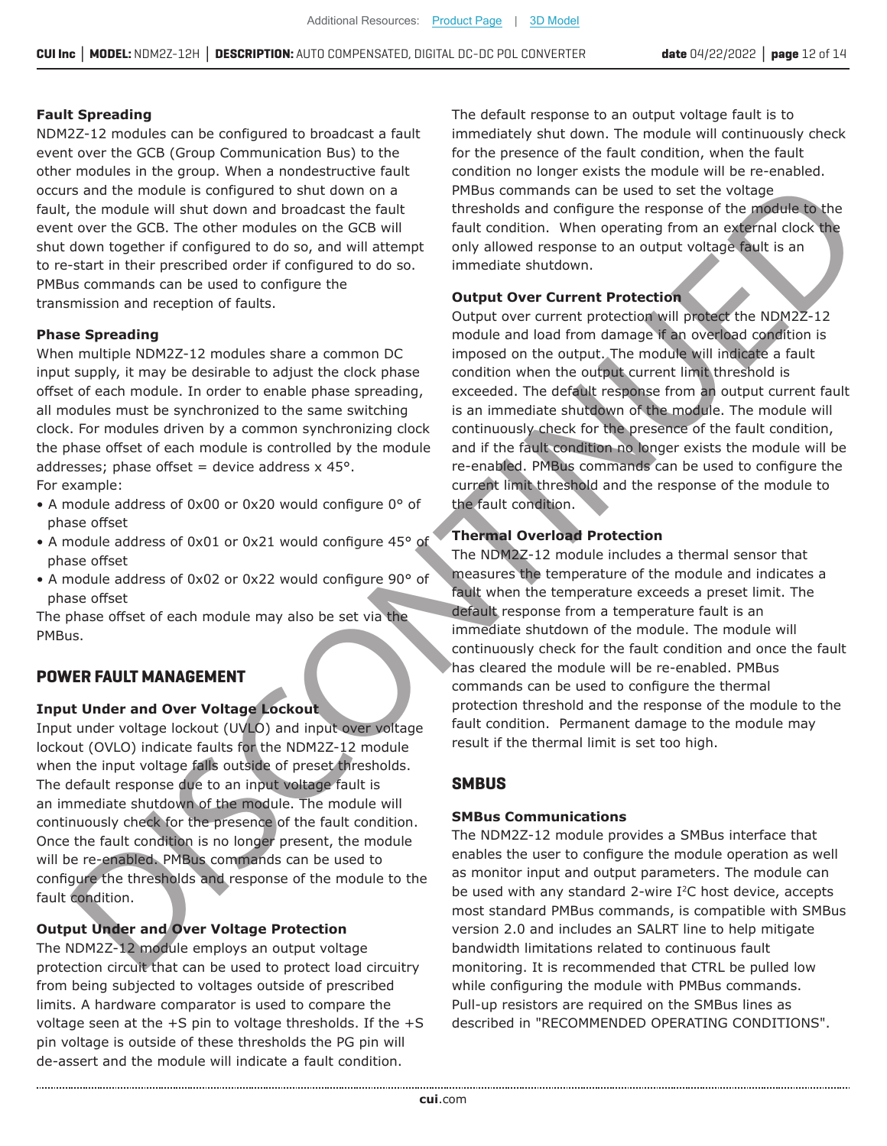#### **Fault Spreading**

NDM2Z-12 modules can be configured to broadcast a fault event over the GCB (Group Communication Bus) to the other modules in the group. When a nondestructive fault occurs and the module is configured to shut down on a fault, the module will shut down and broadcast the fault event over the GCB. The other modules on the GCB will shut down together if configured to do so, and will attempt to re-start in their prescribed order if configured to do so. PMBus commands can be used to configure the transmission and reception of faults.

#### **Phase Spreading**

When multiple NDM2Z-12 modules share a common DC input supply, it may be desirable to adjust the clock phase offset of each module. In order to enable phase spreading, all modules must be synchronized to the same switching clock. For modules driven by a common synchronizing clock the phase offset of each module is controlled by the module addresses; phase offset = device address  $x$  45°.

For example:

- $\bullet$  A module address of 0x00 or 0x20 would configure 0 $\degree$  of phase offset
- A module address of 0x01 or 0x21 would configure 45° of phase offset
- A module address of 0x02 or 0x22 would configure 90° of phase offset

The phase offset of each module may also be set via the PMBus.

#### **POWER FAULT MANAGEMENT**

#### **Input Under and Over Voltage Lockout**

Input under voltage lockout (UVLO) and input over voltage lockout (OVLO) indicate faults for the NDM2Z-12 module when the input voltage falls outside of preset thresholds. The default response due to an input voltage fault is an immediate shutdown of the module. The module will continuously check for the presence of the fault condition. Once the fault condition is no longer present, the module will be re-enabled. PMBus commands can be used to configure the thresholds and response of the module to the fault condition.

#### **Output Under and Over Voltage Protection**

The NDM2Z-12 module employs an output voltage protection circuit that can be used to protect load circuitry from being subjected to voltages outside of prescribed limits. A hardware comparator is used to compare the voltage seen at the +S pin to voltage thresholds. If the +S pin voltage is outside of these thresholds the PG pin will de-assert and the module will indicate a fault condition.

The default response to an output voltage fault is to immediately shut down. The module will continuously check for the presence of the fault condition, when the fault condition no longer exists the module will be re-enabled. PMBus commands can be used to set the voltage thresholds and configure the response of the module to the fault condition. When operating from an external clock the only allowed response to an output voltage fault is an immediate shutdown.

#### **Output Over Current Protection**

Output over current protection will protect the NDM2Z-12 module and load from damage if an overload condition is imposed on the output. The module will indicate a fault condition when the output current limit threshold is exceeded. The default response from an output current fault is an immediate shutdown of the module. The module will continuously check for the presence of the fault condition, and if the fault condition no longer exists the module will be re-enabled. PMBus commands can be used to configure the current limit threshold and the response of the module to the fault condition. s and the module is conflitened to since the module and the module is considered to the interaction of the module of the module of the module is considered to the module of the module is the module of the module of the mo

#### **Thermal Overload Protection**

The NDM2Z-12 module includes a thermal sensor that measures the temperature of the module and indicates a fault when the temperature exceeds a preset limit. The default response from a temperature fault is an immediate shutdown of the module. The module will continuously check for the fault condition and once the fault has cleared the module will be re-enabled. PMBus commands can be used to configure the thermal protection threshold and the response of the module to the fault condition. Permanent damage to the module may result if the thermal limit is set too high.

#### **SMBUS**

#### **SMBus Communications**

The NDM2Z-12 module provides a SMBus interface that enables the user to configure the module operation as well as monitor input and output parameters. The module can be used with any standard 2-wire I<sup>2</sup>C host device, accepts most standard PMBus commands, is compatible with SMBus version 2.0 and includes an SALRT line to help mitigate bandwidth limitations related to continuous fault monitoring. It is recommended that CTRL be pulled low while configuring the module with PMBus commands. Pull-up resistors are required on the SMBus lines as described in "RECOMMENDED OPERATING CONDITIONS".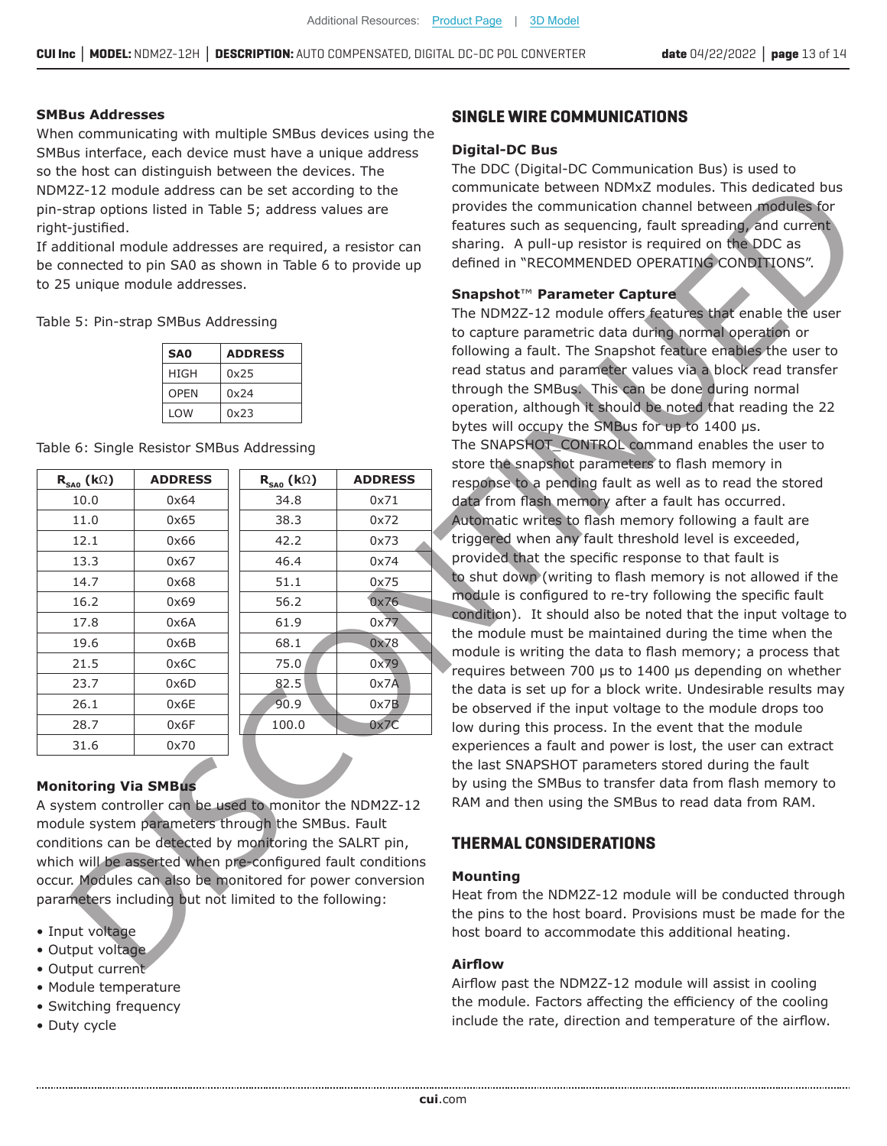#### **SMBus Addresses**

When communicating with multiple SMBus devices using the SMBus interface, each device must have a unique address so the host can distinguish between the devices. The NDM2Z-12 module address can be set according to the pin-strap options listed in Table 5; address values are right-justified.

| SA <sub>0</sub> | <b>ADDRESS</b> |  |
|-----------------|----------------|--|
| HIGH            | 0x25           |  |
| <b>OPEN</b>     | 0x24           |  |
| <b>LOW</b>      | 0x23           |  |

| Table 6: Single Resistor SMBus Addressing |  |  |  |
|-------------------------------------------|--|--|--|
|-------------------------------------------|--|--|--|

| NDM2Z-12 module address can be set according to the<br>pin-strap options listed in Table 5; address values are<br>If additional module addresses are required, a resistor can<br>be connected to pin SA0 as shown in Table 6 to provide up |                                           |                |  |
|--------------------------------------------------------------------------------------------------------------------------------------------------------------------------------------------------------------------------------------------|-------------------------------------------|----------------|--|
|                                                                                                                                                                                                                                            | to 25 unique module addresses.            |                |  |
|                                                                                                                                                                                                                                            |                                           |                |  |
|                                                                                                                                                                                                                                            | Table 5: Pin-strap SMBus Addressing       |                |  |
|                                                                                                                                                                                                                                            | <b>ADDRESS</b>                            |                |  |
|                                                                                                                                                                                                                                            | 0x25                                      |                |  |
|                                                                                                                                                                                                                                            | 0x24                                      |                |  |
|                                                                                                                                                                                                                                            | 0x23                                      |                |  |
|                                                                                                                                                                                                                                            | Table 6: Single Resistor SMBus Addressing |                |  |
|                                                                                                                                                                                                                                            | $\mathsf{R}_{\mathsf{SA0}}$ (kΩ)          | <b>ADDRESS</b> |  |
|                                                                                                                                                                                                                                            | 34.8                                      | 0x71           |  |
|                                                                                                                                                                                                                                            | 38.3                                      | 0x72           |  |
|                                                                                                                                                                                                                                            | 42.2                                      | 0x73           |  |
|                                                                                                                                                                                                                                            | 46.4                                      | 0x74           |  |
|                                                                                                                                                                                                                                            | 51.1                                      | 0x75           |  |
|                                                                                                                                                                                                                                            | 56.2                                      | 0x76           |  |
|                                                                                                                                                                                                                                            | 61.9                                      | 0x77           |  |
|                                                                                                                                                                                                                                            | 68.1                                      | 0x78           |  |
|                                                                                                                                                                                                                                            | 75.0                                      | 0x79           |  |
|                                                                                                                                                                                                                                            | 82.5<br>90.9                              | 0x7A<br>0x7B   |  |
|                                                                                                                                                                                                                                            | 100.0                                     | 0x7C           |  |
|                                                                                                                                                                                                                                            |                                           |                |  |
|                                                                                                                                                                                                                                            |                                           |                |  |
|                                                                                                                                                                                                                                            |                                           |                |  |
| A system controller can be used to monitor the NDM2Z-12                                                                                                                                                                                    |                                           |                |  |
| module system parameters through the SMBus. Fault                                                                                                                                                                                          |                                           |                |  |
| conditions can be detected by monitoring the SALRT pin,                                                                                                                                                                                    |                                           |                |  |
| which will be asserted when pre-configured fault conditions                                                                                                                                                                                |                                           |                |  |
| occur. Modules can also be monitored for power conversion                                                                                                                                                                                  |                                           |                |  |
| parameters including but not limited to the following:                                                                                                                                                                                     |                                           |                |  |
|                                                                                                                                                                                                                                            |                                           |                |  |
|                                                                                                                                                                                                                                            |                                           |                |  |
|                                                                                                                                                                                                                                            |                                           |                |  |

#### **Monitoring Via SMBus**

- Input voltage
- Output voltage
- Output current
- Module temperature
- Switching frequency
- Duty cycle

#### **SINGLE WIRE COMMUNICATIONS**

#### **Digital-DC Bus**

The DDC (Digital-DC Communication Bus) is used to communicate between NDMxZ modules. This dedicated bus provides the communication channel between modules for features such as sequencing, fault spreading, and current sharing. A pull-up resistor is required on the DDC as defined in "RECOMMENDED OPERATING CONDITIONS".

#### **Snapshot™ Parameter Capture**

The NDM2Z-12 module offers features that enable the user to capture parametric data during normal operation or following a fault. The Snapshot feature enables the user to read status and parameter values via a block read transfer through the SMBus. This can be done during normal operation, although it should be noted that reading the 22 bytes will occupy the SMBus for up to  $1400 \text{ }\mu\text{s}$ . The SNAPSHOT CONTROL command enables the user to store the snapshot parameters to flash memory in response to a pending fault as well as to read the stored data from flash memory after a fault has occurred. Automatic writes to flash memory following a fault are triggered when any fault threshold level is exceeded, provided that the specific response to that fault is to shut down (writing to flash memory is not allowed if the module is configured to re-try following the specific fault condition). It should also be noted that the input voltage to the module must be maintained during the time when the module is writing the data to flash memory; a process that requires between 700 us to 1400 us depending on whether the data is set up for a block write. Undesirable results may be observed if the input voltage to the module drops too low during this process. In the event that the module experiences a fault and power is lost, the user can extract the last SNAPSHOT parameters stored during the fault by using the SMBus to transfer data from flash memory to RAM and then using the SMBus to read data from RAM. 22.12 Tradella edicates and by contribute the software in the state and by the state of the state of the state of the state of the state of the state of the state of the state of the state of the state of the state of the

#### **THERMAL CONSIDERATIONS**

#### **Mounting**

Heat from the NDM2Z-12 module will be conducted through the pins to the host board. Provisions must be made for the host board to accommodate this additional heating.

#### **Airflow**

Airflow past the NDM2Z-12 module will assist in cooling the module. Factors affecting the efficiency of the cooling include the rate, direction and temperature of the airflow.